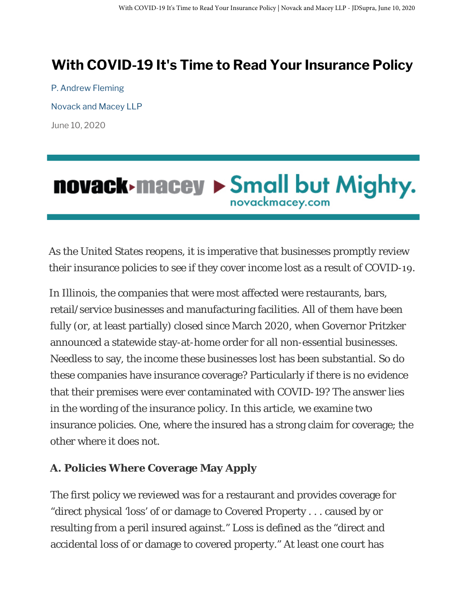## **With COVID-19 It's Time to Read Your Insurance Policy**

P. Andrew Fleming Novack and Macey LLP June 10, 2020

# **novack-macey > Small but Mighty.**

As the United States reopens, it is imperative that businesses promptly review their insurance policies to see if they cover income lost as a result of COVID-19.

In Illinois, the companies that were most affected were restaurants, bars, retail/service businesses and manufacturing facilities. All of them have been fully (or, at least partially) closed since March 2020, when Governor Pritzker announced a statewide stay-at-home order for all non-essential businesses. Needless to say, the income these businesses lost has been substantial. So do these companies have insurance coverage? Particularly if there is no evidence that their premises were ever contaminated with COVID-19? The answer lies in the wording of the insurance policy. In this article, we examine two insurance policies. One, where the insured has a strong claim for coverage; the other where it does not.

#### **A. Policies Where Coverage May Apply**

The first policy we reviewed was for a restaurant and provides coverage for "direct physical 'loss' of or damage to Covered Property . . . caused by or resulting from a peril insured against." Loss is defined as the "direct and accidental loss of or damage to covered property." At least one court has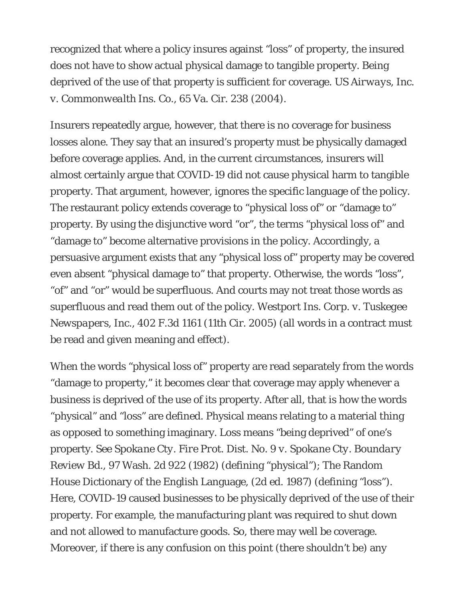recognized that where a policy insures against "loss" of property, the insured does not have to show actual physical damage to tangible property. Being deprived of the use of that property is sufficient for coverage. *US Airways, Inc. v. Commonwealth Ins. Co.*, 65 Va. Cir. 238 (2004).

Insurers repeatedly argue, however, that there is no coverage for business losses alone. They say that an insured's property must be physically damaged before coverage applies. And, in the current circumstances, insurers will almost certainly argue that COVID-19 did not cause physical harm to tangible property. That argument, however, ignores the specific language of the policy. The restaurant policy extends coverage to "physical loss of" *or* "damage to" property. By using the disjunctive word "or", the terms "physical loss of" and "damage to" become alternative provisions in the policy. Accordingly, a persuasive argument exists that any "physical loss of" property may be covered even absent "physical damage to" that property. Otherwise, the words "loss", "of" and "or" would be superfluous. And courts may not treat those words as superfluous and read them out of the policy. *Westport Ins. Corp. v. Tuskegee Newspapers, Inc.*, 402 F.3d 1161 (11th Cir. 2005) (all words in a contract must be read and given meaning and effect).

When the words "physical loss of" property are read separately from the words "damage to property," it becomes clear that coverage may apply whenever a business is deprived of the use of its property. After all, that is how the words "physical" and "loss" are defined. Physical means relating to a material thing as opposed to something imaginary. Loss means "being deprived" of one's property. See *Spokane Cty. Fire Prot. Dist. No. 9 v. Spokane Cty. Boundary Review Bd.*, 97 Wash. 2d 922 (1982) (defining "physical"); The Random House Dictionary of the English Language, (2d ed. 1987) (defining "loss"). Here, COVID-19 caused businesses to be physically deprived of the use of their property. For example, the manufacturing plant was required to shut down and not allowed to manufacture goods. So, there may well be coverage. Moreover, if there is any confusion on this point (there shouldn't be) any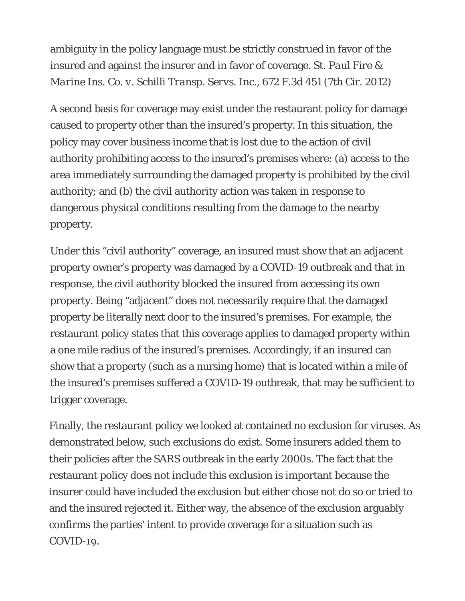ambiguity in the policy language must be strictly construed in favor of the insured and against the insurer and in favor of coverage. St. *Paul Fire & Marine Ins. Co. v. Schilli Transp. Servs. Inc.*, 672 F.3d 451 (7th Cir. 2012)

A second basis for coverage may exist under the restaurant policy for damage caused to property other than the insured's property. In this situation, the policy may cover business income that is lost due to the action of civil authority prohibiting access to the insured's premises where: (a) access to the area immediately surrounding the damaged property is prohibited by the civil authority; and (b) the civil authority action was taken in response to dangerous physical conditions resulting from the damage to the nearby property.

Under this "civil authority" coverage, an insured must show that an adjacent property owner's property was damaged by a COVID-19 outbreak and that in response, the civil authority blocked the insured from accessing its own property. Being "adjacent" does not necessarily require that the damaged property be literally next door to the insured's premises. For example, the restaurant policy states that this coverage applies to damaged property within a one mile radius of the insured's premises. Accordingly, if an insured can show that a property (such as a nursing home) that is located within a mile of the insured's premises suffered a COVID-19 outbreak, that may be sufficient to trigger coverage.

Finally, the restaurant policy we looked at contained no exclusion for viruses. As demonstrated below, such exclusions do exist. Some insurers added them to their policies after the SARS outbreak in the early 2000s. The fact that the restaurant policy does not include this exclusion is important because the insurer could have included the exclusion but either chose not do so or tried to and the insured rejected it. Either way, the absence of the exclusion arguably confirms the parties' intent to provide coverage for a situation such as COVID-19.